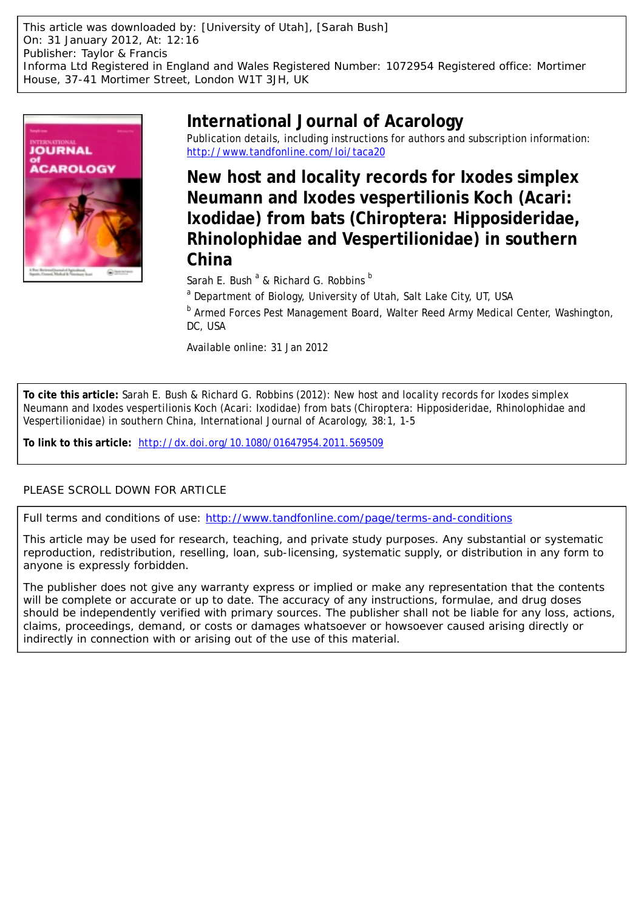This article was downloaded by: [University of Utah], [Sarah Bush] On: 31 January 2012, At: 12:16 Publisher: Taylor & Francis Informa Ltd Registered in England and Wales Registered Number: 1072954 Registered office: Mortimer House, 37-41 Mortimer Street, London W1T 3JH, UK



# **International Journal of Acarology**

Publication details, including instructions for authors and subscription information: <http://www.tandfonline.com/loi/taca20>

**New host and locality records for Ixodes simplex Neumann and Ixodes vespertilionis Koch (Acari: Ixodidae) from bats (Chiroptera: Hipposideridae, Rhinolophidae and Vespertilionidae) in southern China**

Sarah E. Bush <sup>a</sup> & Richard G. Robbins <sup>b</sup>

<sup>a</sup> Department of Biology, University of Utah, Salt Lake City, UT, USA

**b Armed Forces Pest Management Board, Walter Reed Army Medical Center, Washington,** DC, USA

Available online: 31 Jan 2012

**To cite this article:** Sarah E. Bush & Richard G. Robbins (2012): New host and locality records for Ixodes simplex Neumann and Ixodes vespertilionis Koch (Acari: Ixodidae) from bats (Chiroptera: Hipposideridae, Rhinolophidae and Vespertilionidae) in southern China, International Journal of Acarology, 38:1, 1-5

**To link to this article:** <http://dx.doi.org/10.1080/01647954.2011.569509>

## PLEASE SCROLL DOWN FOR ARTICLE

Full terms and conditions of use:<http://www.tandfonline.com/page/terms-and-conditions>

This article may be used for research, teaching, and private study purposes. Any substantial or systematic reproduction, redistribution, reselling, loan, sub-licensing, systematic supply, or distribution in any form to anyone is expressly forbidden.

The publisher does not give any warranty express or implied or make any representation that the contents will be complete or accurate or up to date. The accuracy of any instructions, formulae, and drug doses should be independently verified with primary sources. The publisher shall not be liable for any loss, actions, claims, proceedings, demand, or costs or damages whatsoever or howsoever caused arising directly or indirectly in connection with or arising out of the use of this material.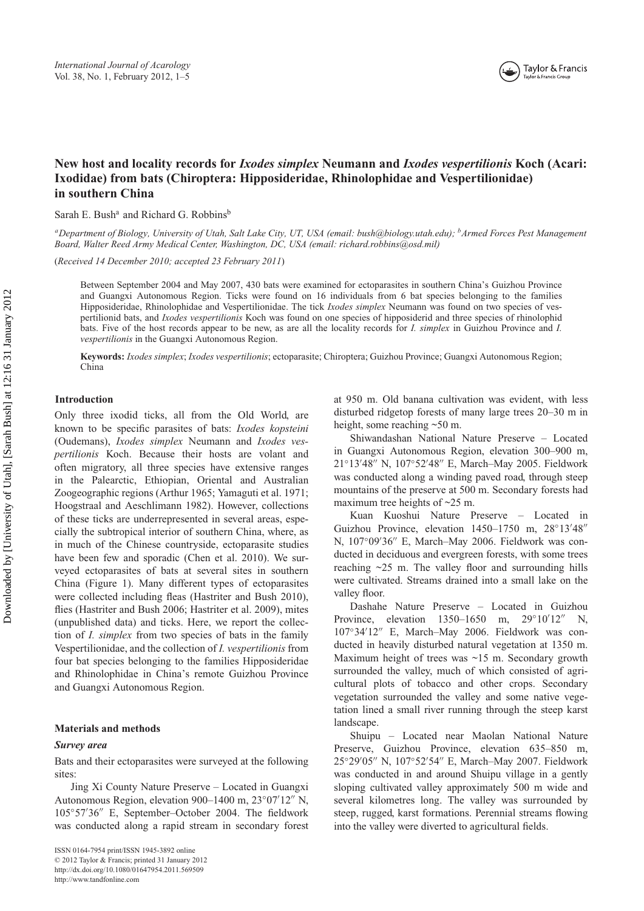## **New host and locality records for** *Ixodes simplex* **Neumann and** *Ixodes vespertilionis* **Koch (Acari: Ixodidae) from bats (Chiroptera: Hipposideridae, Rhinolophidae and Vespertilionidae) in southern China**

Sarah E. Bush<sup>a</sup> and Richard G. Robbins<sup>b</sup>

*aDepartment of Biology, University of Utah, Salt Lake City, UT, USA (email: [bush@biology.utah.edu](mailto:bush@biology.utah.edu)); bArmed Forces Pest Management Board, Walter Reed Army Medical Center, Washington, DC, USA (email: richard.[robbins@osd.mil\)](mailto:robbins@osd.mil)*

(*Received 14 December 2010; accepted 23 February 2011*)

Between September 2004 and May 2007, 430 bats were examined for ectoparasites in southern China's Guizhou Province and Guangxi Autonomous Region. Ticks were found on 16 individuals from 6 bat species belonging to the families Hipposideridae, Rhinolophidae and Vespertilionidae. The tick *Ixodes simplex* Neumann was found on two species of vespertilionid bats, and *Ixodes vespertilionis* Koch was found on one species of hipposiderid and three species of rhinolophid bats. Five of the host records appear to be new, as are all the locality records for *I. simplex* in Guizhou Province and *I. vespertilionis* in the Guangxi Autonomous Region.

**Keywords:** *Ixodes simplex*; *Ixodes vespertilionis*; ectoparasite; Chiroptera; Guizhou Province; Guangxi Autonomous Region; China

#### **Introduction**

Only three ixodid ticks, all from the Old World, are known to be specific parasites of bats: *Ixodes kopsteini* (Oudemans), *Ixodes simplex* Neumann and *Ixodes vespertilionis* Koch. Because their hosts are volant and often migratory, all three species have extensive ranges in the Palearctic, Ethiopian, Oriental and Australian Zoogeographic regions (Arthur 1965; Yamaguti et al. 1971; Hoogstraal and Aeschlimann 1982). However, collections of these ticks are underrepresented in several areas, especially the subtropical interior of southern China, where, as in much of the Chinese countryside, ectoparasite studies have been few and sporadic (Chen et al. 2010). We surveyed ectoparasites of bats at several sites in southern China (Figure 1). Many different types of ectoparasites were collected including fleas (Hastriter and Bush 2010), flies (Hastriter and Bush 2006; Hastriter et al. 2009), mites (unpublished data) and ticks. Here, we report the collection of *I. simplex* from two species of bats in the family Vespertilionidae, and the collection of *I. vespertilionis* from four bat species belonging to the families Hipposideridae and Rhinolophidae in China's remote Guizhou Province and Guangxi Autonomous Region.

#### **Materials and methods**

#### *Survey area*

Bats and their ectoparasites were surveyed at the following sites:

Jing Xi County Nature Preserve – Located in Guangxi Autonomous Region, elevation 900–1400 m, 23°07'12″ N, 105°57'36" E, September-October 2004. The fieldwork was conducted along a rapid stream in secondary forest at 950 m. Old banana cultivation was evident, with less disturbed ridgetop forests of many large trees 20–30 m in height, some reaching ~50 m.

Shiwandashan National Nature Preserve – Located in Guangxi Autonomous Region, elevation 300–900 m, 21°13'48" N, 107°52'48" E, March–May 2005. Fieldwork was conducted along a winding paved road, through steep mountains of the preserve at 500 m. Secondary forests had maximum tree heights of ~25 m.

Kuan Kuoshui Nature Preserve – Located in Guizhou Province, elevation 1450-1750 m, 28°13'48" N, 107°09'36" E, March–May 2006. Fieldwork was conducted in deciduous and evergreen forests, with some trees reaching  $\sim$ 25 m. The valley floor and surrounding hills were cultivated. Streams drained into a small lake on the valley floor.

Dashahe Nature Preserve – Located in Guizhou Province, elevation 1350–1650 m, 29°10′12″ N, 107◦34 12 E, March–May 2006. Fieldwork was conducted in heavily disturbed natural vegetation at 1350 m. Maximum height of trees was ~15 m. Secondary growth surrounded the valley, much of which consisted of agricultural plots of tobacco and other crops. Secondary vegetation surrounded the valley and some native vegetation lined a small river running through the steep karst landscape.

Shuipu – Located near Maolan National Nature Preserve, Guizhou Province, elevation 635–850 m, 25°29'05" N, 107°52'54" E, March-May 2007. Fieldwork was conducted in and around Shuipu village in a gently sloping cultivated valley approximately 500 m wide and several kilometres long. The valley was surrounded by steep, rugged, karst formations. Perennial streams flowing into the valley were diverted to agricultural fields.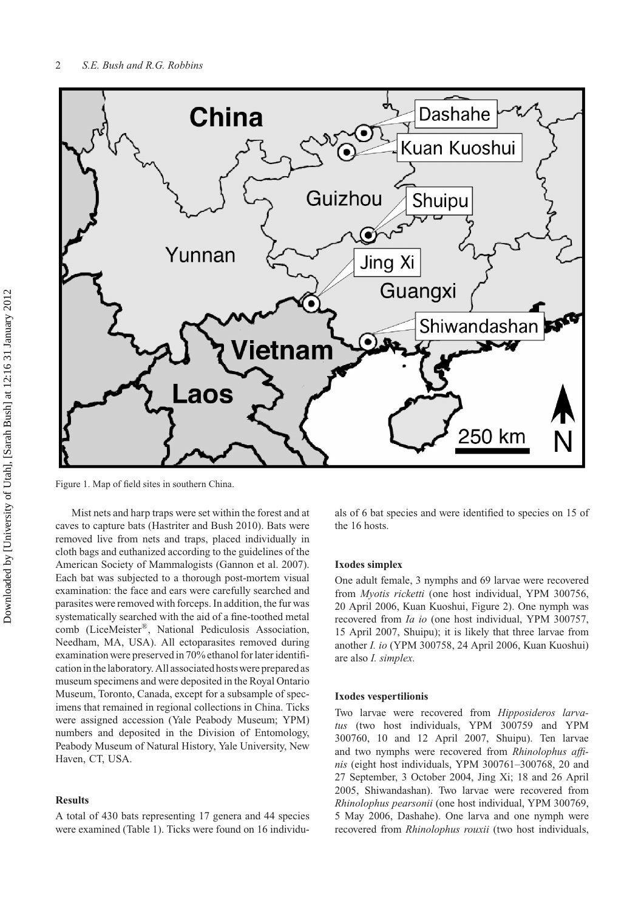

Figure 1. Map of field sites in southern China.

Mist nets and harp traps were set within the forest and at caves to capture bats (Hastriter and Bush 2010). Bats were removed live from nets and traps, placed individually in cloth bags and euthanized according to the guidelines of the American Society of Mammalogists (Gannon et al. 2007). Each bat was subjected to a thorough post-mortem visual examination: the face and ears were carefully searched and parasites were removed with forceps. In addition, the fur was systematically searched with the aid of a fine-toothed metal comb (LiceMeister®, National Pediculosis Association, Needham, MA, USA). All ectoparasites removed during examination were preserved in 70% ethanol for later identification in the laboratory. All associated hosts were prepared as museum specimens and were deposited in the Royal Ontario Museum, Toronto, Canada, except for a subsample of specimens that remained in regional collections in China. Ticks were assigned accession (Yale Peabody Museum; YPM) numbers and deposited in the Division of Entomology, Peabody Museum of Natural History, Yale University, New Haven, CT, USA.

#### **Results**

A total of 430 bats representing 17 genera and 44 species were examined (Table 1). Ticks were found on 16 individuals of 6 bat species and were identified to species on 15 of the 16 hosts.

### **Ixodes simplex**

One adult female, 3 nymphs and 69 larvae were recovered from *Myotis ricketti* (one host individual, YPM 300756, 20 April 2006, Kuan Kuoshui, Figure 2). One nymph was recovered from *Ia io* (one host individual, YPM 300757, 15 April 2007, Shuipu); it is likely that three larvae from another *I. io* (YPM 300758, 24 April 2006, Kuan Kuoshui) are also *I. simplex.*

#### **Ixodes vespertilionis**

Two larvae were recovered from *Hipposideros larvatus* (two host individuals, YPM 300759 and YPM 300760, 10 and 12 April 2007, Shuipu). Ten larvae and two nymphs were recovered from *Rhinolophus affinis* (eight host individuals, YPM 300761–300768, 20 and 27 September, 3 October 2004, Jing Xi; 18 and 26 April 2005, Shiwandashan). Two larvae were recovered from *Rhinolophus pearsonii* (one host individual, YPM 300769, 5 May 2006, Dashahe). One larva and one nymph were recovered from *Rhinolophus rouxii* (two host individuals,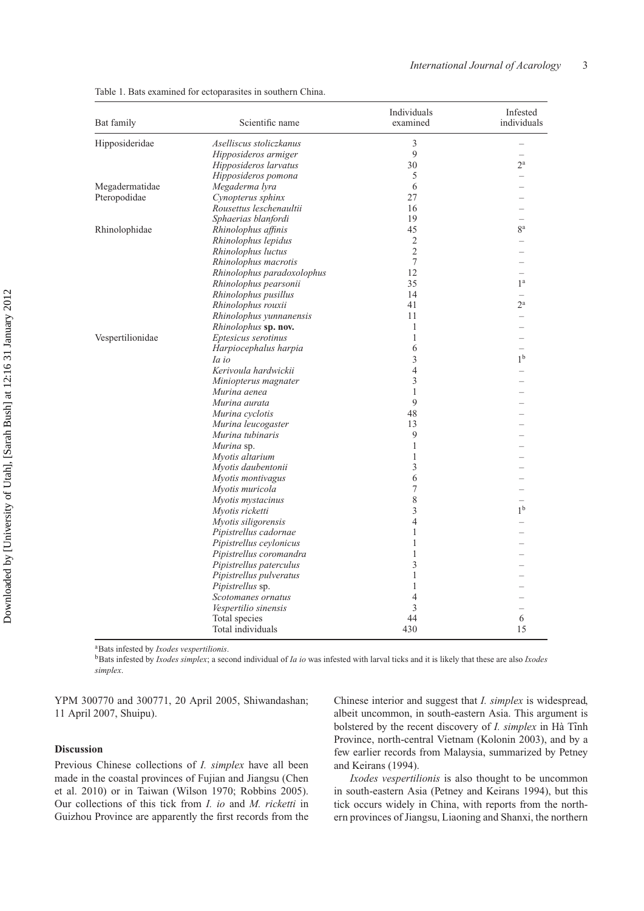| Bat family       | Scientific name                        | Individuals<br>examined | Infested<br>individuals |
|------------------|----------------------------------------|-------------------------|-------------------------|
| Hipposideridae   | Aselliscus stoliczkanus                | 3                       |                         |
|                  | Hipposideros armiger                   | 9                       |                         |
|                  | Hipposideros larvatus                  | 30                      | $2^{\rm a}$             |
|                  | Hipposideros pomona                    | 5                       |                         |
| Megadermatidae   | Megaderma lyra                         | 6                       |                         |
| Pteropodidae     | Cynopterus sphinx                      | 27                      |                         |
|                  | Rousettus leschenaultii                | 16                      |                         |
|                  | Sphaerias blanfordi                    | 19                      |                         |
| Rhinolophidae    | Rhinolophus affinis                    | 45                      | ga                      |
|                  | Rhinolophus lepidus                    | $\sqrt{2}$              |                         |
|                  | Rhinolophus luctus                     | $\overline{2}$          |                         |
|                  | Rhinolophus macrotis                   | $\tau$                  |                         |
|                  | Rhinolophus paradoxolophus             | 12                      |                         |
|                  | Rhinolophus pearsonii                  | 35                      | 1 <sup>a</sup>          |
|                  | Rhinolophus pusillus                   | 14                      |                         |
|                  | Rhinolophus rouxii                     | 41                      | $2^{\mathrm{a}}$        |
|                  | Rhinolophus yunnanensis                | 11                      |                         |
|                  | Rhinolophus sp. nov.                   | $\mathbf{1}$            |                         |
| Vespertilionidae | Eptesicus serotinus                    | $\mathbf{1}$            |                         |
|                  | Harpiocephalus harpia                  | 6                       |                         |
|                  | Ia io                                  | 3                       | 1 <sup>b</sup>          |
|                  | Kerivoula hardwickii                   | $\overline{4}$          |                         |
|                  |                                        | 3                       |                         |
|                  | Miniopterus magnater<br>Murina aenea   | $\mathbf{1}$            |                         |
|                  | Murina aurata                          | $\mathbf{Q}$            |                         |
|                  |                                        | 48                      |                         |
|                  | Murina cyclotis                        |                         |                         |
|                  | Murina leucogaster<br>Murina tubinaris | 13<br>9                 |                         |
|                  |                                        |                         |                         |
|                  | Murina sp.                             | $\mathbf{1}$            |                         |
|                  | Myotis altarium                        | $\mathbf{1}$<br>3       |                         |
|                  | Myotis daubentonii                     |                         |                         |
|                  | Myotis montivagus                      | 6                       |                         |
|                  | Myotis muricola                        | $\boldsymbol{7}$        |                         |
|                  | Myotis mystacinus                      | $\,$ $\,$               |                         |
|                  | Myotis ricketti                        | $\mathfrak{Z}$          | 1 <sup>b</sup>          |
|                  | Myotis siligorensis                    | $\overline{4}$          |                         |
|                  | Pipistrellus cadornae                  | $\mathbf{1}$            |                         |
|                  | Pipistrellus ceylonicus                | $\mathbf{1}$            |                         |
|                  | Pipistrellus coromandra                | $\,1$                   |                         |
|                  | Pipistrellus paterculus                | 3                       |                         |
|                  | Pipistrellus pulveratus                | $\mathbf{1}$            |                         |
|                  | Pipistrellus sp.                       | $\mathbf{1}$            |                         |
|                  | Scotomanes ornatus                     | $\overline{4}$          |                         |
|                  | Vespertilio sinensis                   | 3                       |                         |
|                  | Total species                          | 44                      | 6                       |
|                  | Total individuals                      | 430                     | 15                      |

Table 1. Bats examined for ectoparasites in southern China.

aBats infested by *Ixodes vespertilionis*.

bBats infested by *Ixodes simplex*; a second individual of *Ia io* was infested with larval ticks and it is likely that these are also *Ixodes simplex*.

YPM 300770 and 300771, 20 April 2005, Shiwandashan; 11 April 2007, Shuipu).

#### **Discussion**

Previous Chinese collections of *I. simplex* have all been made in the coastal provinces of Fujian and Jiangsu (Chen et al. 2010) or in Taiwan (Wilson 1970; Robbins 2005). Our collections of this tick from *I. io* and *M. ricketti* in Guizhou Province are apparently the first records from the Chinese interior and suggest that *I. simplex* is widespread, albeit uncommon, in south-eastern Asia. This argument is bolstered by the recent discovery of *I. simplex* in Hà Tĩnh Province, north-central Vietnam (Kolonin 2003), and by a few earlier records from Malaysia, summarized by Petney and Keirans (1994).

*Ixodes vespertilionis* is also thought to be uncommon in south-eastern Asia (Petney and Keirans 1994), but this tick occurs widely in China, with reports from the northern provinces of Jiangsu, Liaoning and Shanxi, the northern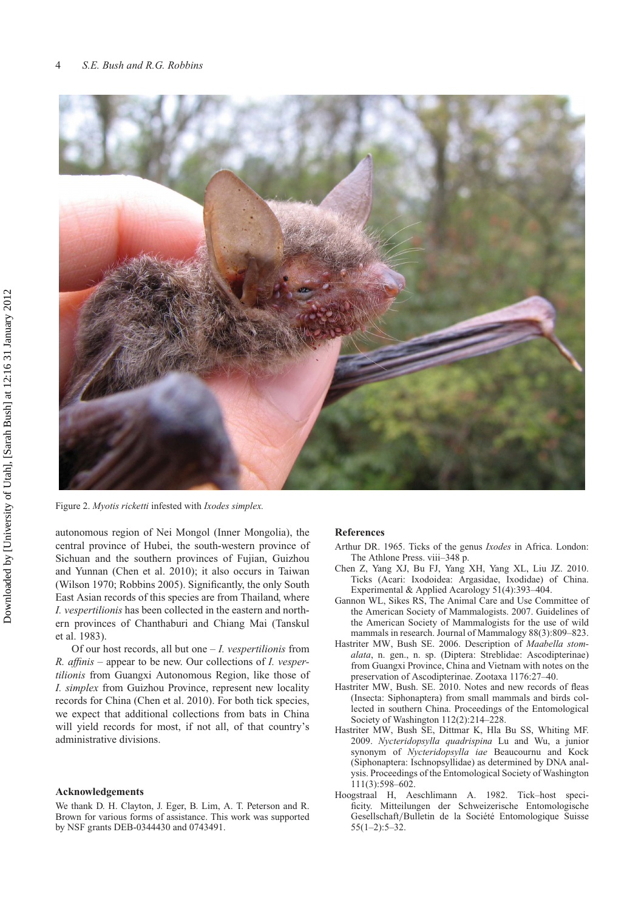

Figure 2. *Myotis ricketti* infested with *Ixodes simplex.*

autonomous region of Nei Mongol (Inner Mongolia), the central province of Hubei, the south-western province of Sichuan and the southern provinces of Fujian, Guizhou and Yunnan (Chen et al. 2010); it also occurs in Taiwan (Wilson 1970; Robbins 2005). Significantly, the only South East Asian records of this species are from Thailand, where *I. vespertilionis* has been collected in the eastern and northern provinces of Chanthaburi and Chiang Mai (Tanskul et al. 1983).

Of our host records, all but one – *I. vespertilionis* from *R. affinis* – appear to be new. Our collections of *I. vespertilionis* from Guangxi Autonomous Region, like those of *I. simplex* from Guizhou Province, represent new locality records for China (Chen et al. 2010). For both tick species, we expect that additional collections from bats in China will yield records for most, if not all, of that country's administrative divisions.

#### **Acknowledgements**

We thank D. H. Clayton, J. Eger, B. Lim, A. T. Peterson and R. Brown for various forms of assistance. This work was supported by NSF grants DEB-0344430 and 0743491.

#### **References**

- Arthur DR. 1965. Ticks of the genus *Ixodes* in Africa. London: The Athlone Press. viii–348 p.
- Chen Z, Yang XJ, Bu FJ, Yang XH, Yang XL, Liu JZ. 2010. Ticks (Acari: Ixodoidea: Argasidae, Ixodidae) of China. Experimental & Applied Acarology 51(4):393–404.
- Gannon WL, Sikes RS, The Animal Care and Use Committee of the American Society of Mammalogists. 2007. Guidelines of the American Society of Mammalogists for the use of wild mammals in research. Journal of Mammalogy 88(3):809–823.
- Hastriter MW, Bush SE. 2006. Description of *Maabella stomalata*, n. gen., n. sp. (Diptera: Streblidae: Ascodipterinae) from Guangxi Province, China and Vietnam with notes on the preservation of Ascodipterinae. Zootaxa 1176:27–40.
- Hastriter MW, Bush. SE. 2010. Notes and new records of fleas (Insecta: Siphonaptera) from small mammals and birds collected in southern China. Proceedings of the Entomological Society of Washington 112(2):214–228.
- Hastriter MW, Bush SE, Dittmar K, Hla Bu SS, Whiting MF. 2009. *Nycteridopsylla quadrispina* Lu and Wu, a junior synonym of *Nycteridopsylla iae* Beaucournu and Kock (Siphonaptera: Ischnopsyllidae) as determined by DNA analysis. Proceedings of the Entomological Society of Washington 111(3):598–602.
- Hoogstraal H, Aeschlimann A. 1982. Tick–host specificity. Mitteilungen der Schweizerische Entomologische Gesellschaft*/*Bulletin de la Société Entomologique Suisse  $55(1-2):5-32.$